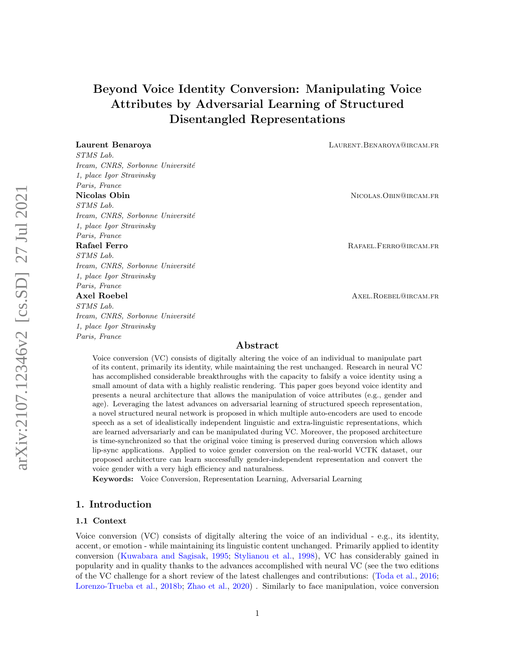# Beyond Voice Identity Conversion: Manipulating Voice Attributes by Adversarial Learning of Structured Disentangled Representations

STMS Lab. Ircam, CNRS, Sorbonne Université 1, place Igor Stravinsky Paris, France Nicolas Obin Nicolas.Obin Nicolas.Obin Nicolas.Obin Nicolas.Obin Nicolas.Obin Nicolas.Obin Nicolas.Obin Nicolas.Obin Nicolas.Obin Nicolas.Obin Nicolas.Obin Nicolas.Obin Nicolas.Obin Nicolas.Obin Nicolas.Obin Nicolas.Obin N STMS Lab. Ircam, CNRS, Sorbonne Université 1, place Igor Stravinsky Paris, France Rafael Ferro **RAFAEL.FERRO@IRCAM.FR** STMS Lab. Ircam, CNRS, Sorbonne Université 1, place Igor Stravinsky Paris, France Axel Roebel **Axel Roebel Axel Roebel Axel Roebel** STMS Lab. Ircam, CNRS, Sorbonne Université 1, place Igor Stravinsky Paris, France

**Laurent Benaroya LAURENT. BENAROYA@IRCAM.FR** 

## Abstract

Voice conversion (VC) consists of digitally altering the voice of an individual to manipulate part of its content, primarily its identity, while maintaining the rest unchanged. Research in neural VC has accomplished considerable breakthroughs with the capacity to falsify a voice identity using a small amount of data with a highly realistic rendering. This paper goes beyond voice identity and presents a neural architecture that allows the manipulation of voice attributes (e.g., gender and age). Leveraging the latest advances on adversarial learning of structured speech representation, a novel structured neural network is proposed in which multiple auto-encoders are used to encode speech as a set of idealistically independent linguistic and extra-linguistic representations, which are learned adversariarly and can be manipulated during VC. Moreover, the proposed architecture is time-synchronized so that the original voice timing is preserved during conversion which allows lip-sync applications. Applied to voice gender conversion on the real-world VCTK dataset, our proposed architecture can learn successfully gender-independent representation and convert the voice gender with a very high efficiency and naturalness.

Keywords: Voice Conversion, Representation Learning, Adversarial Learning

## 1. Introduction

#### 1.1 Context

Voice conversion (VC) consists of digitally altering the voice of an individual - e.g., its identity, accent, or emotion - while maintaining its linguistic content unchanged. Primarily applied to identity conversion [\(Kuwabara and Sagisak,](#page-14-0) [1995;](#page-14-0) [Stylianou et al.,](#page-15-0) [1998\)](#page-15-0), VC has considerably gained in popularity and in quality thanks to the advances accomplished with neural VC (see the two editions of the VC challenge for a short review of the latest challenges and contributions: [\(Toda et al.,](#page-16-0) [2016;](#page-16-0) [Lorenzo-Trueba et al.,](#page-14-1) [2018b;](#page-14-1) [Zhao et al.,](#page-16-1) [2020\)](#page-16-1) . Similarly to face manipulation, voice conversion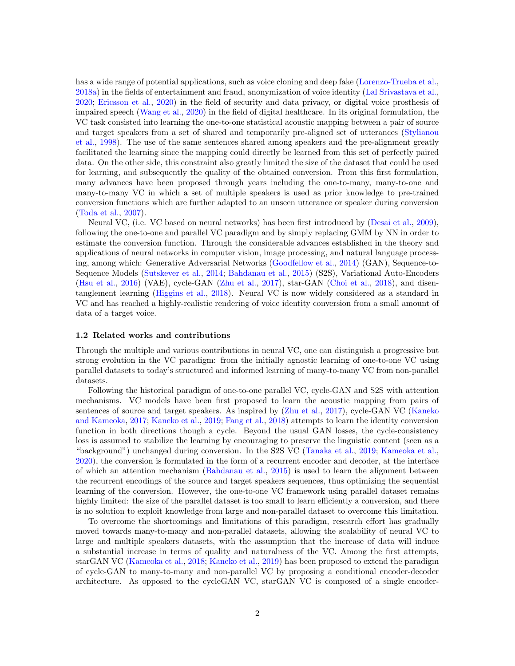has a wide range of potential applications, such as voice cloning and deep fake [\(Lorenzo-Trueba et al.,](#page-14-2) [2018a\)](#page-14-2) in the fields of entertainment and fraud, anonymization of voice identity [\(Lal Srivastava et al.,](#page-14-3) [2020;](#page-14-3) [Ericsson et al.,](#page-13-0) [2020\)](#page-13-0) in the field of security and data privacy, or digital voice prosthesis of impaired speech [\(Wang et al.,](#page-16-2) [2020\)](#page-16-2) in the field of digital healthcare. In its original formulation, the VC task consisted into learning the one-to-one statistical acoustic mapping between a pair of source and target speakers from a set of shared and temporarily pre-aligned set of utterances [\(Stylianou](#page-15-0) [et al.,](#page-15-0) [1998\)](#page-15-0). The use of the same sentences shared among speakers and the pre-alignment greatly facilitated the learning since the mapping could directly be learned from this set of perfectly paired data. On the other side, this constraint also greatly limited the size of the dataset that could be used for learning, and subsequently the quality of the obtained conversion. From this first formulation, many advances have been proposed through years including the one-to-many, many-to-one and many-to-many VC in which a set of multiple speakers is used as prior knowledge to pre-trained conversion functions which are further adapted to an unseen utterance or speaker during conversion [\(Toda et al.,](#page-15-1) [2007\)](#page-15-1).

Neural VC, (i.e. VC based on neural networks) has been first introduced by [\(Desai et al.,](#page-13-1) [2009\)](#page-13-1), following the one-to-one and parallel VC paradigm and by simply replacing GMM by NN in order to estimate the conversion function. Through the considerable advances established in the theory and applications of neural networks in computer vision, image processing, and natural language processing, among which: Generative Adversarial Networks [\(Goodfellow et al.,](#page-13-2) [2014\)](#page-13-2) (GAN), Sequence-to-Sequence Models [\(Sutskever et al.,](#page-15-2) [2014;](#page-15-2) [Bahdanau et al.,](#page-13-3) [2015\)](#page-13-3) (S2S), Variational Auto-Encoders [\(Hsu et al.,](#page-13-4) [2016\)](#page-13-4) (VAE), cycle-GAN [\(Zhu et al.,](#page-16-3) [2017\)](#page-16-3), star-GAN [\(Choi et al.,](#page-13-5) [2018\)](#page-13-5), and disentanglement learning [\(Higgins et al.,](#page-13-6) [2018\)](#page-13-6). Neural VC is now widely considered as a standard in VC and has reached a highly-realistic rendering of voice identity conversion from a small amount of data of a target voice.

#### 1.2 Related works and contributions

Through the multiple and various contributions in neural VC, one can distinguish a progressive but strong evolution in the VC paradigm: from the initially agnostic learning of one-to-one VC using parallel datasets to today's structured and informed learning of many-to-many VC from non-parallel datasets.

Following the historical paradigm of one-to-one parallel VC, cycle-GAN and S2S with attention mechanisms. VC models have been first proposed to learn the acoustic mapping from pairs of sentences of source and target speakers. As inspired by [\(Zhu et al.,](#page-16-3) [2017\)](#page-16-3), cycle-GAN VC [\(Kaneko](#page-14-4) [and Kameoka,](#page-14-4) [2017;](#page-14-4) [Kaneko et al.,](#page-14-5) [2019;](#page-14-5) [Fang et al.,](#page-13-7) [2018\)](#page-13-7) attempts to learn the identity conversion function in both directions though a cycle. Beyond the usual GAN losses, the cycle-consistency loss is assumed to stabilize the learning by encouraging to preserve the linguistic content (seen as a "background") unchanged during conversion. In the S2S VC [\(Tanaka et al.,](#page-15-3) [2019;](#page-15-3) [Kameoka et al.,](#page-14-6) [2020\)](#page-14-6), the conversion is formulated in the form of a recurrent encoder and decoder, at the interface of which an attention mechanism [\(Bahdanau et al.,](#page-13-3) [2015\)](#page-13-3) is used to learn the alignment between the recurrent encodings of the source and target speakers sequences, thus optimizing the sequential learning of the conversion. However, the one-to-one VC framework using parallel dataset remains highly limited: the size of the parallel dataset is too small to learn efficiently a conversion, and there is no solution to exploit knowledge from large and non-parallel dataset to overcome this limitation.

To overcome the shortcomings and limitations of this paradigm, research effort has gradually moved towards many-to-many and non-parallel datasets, allowing the scalability of neural VC to large and multiple speakers datasets, with the assumption that the increase of data will induce a substantial increase in terms of quality and naturalness of the VC. Among the first attempts, starGAN VC [\(Kameoka et al.,](#page-14-7) [2018;](#page-14-7) [Kaneko et al.,](#page-14-8) [2019\)](#page-14-8) has been proposed to extend the paradigm of cycle-GAN to many-to-many and non-parallel VC by proposing a conditional encoder-decoder architecture. As opposed to the cycleGAN VC, starGAN VC is composed of a single encoder-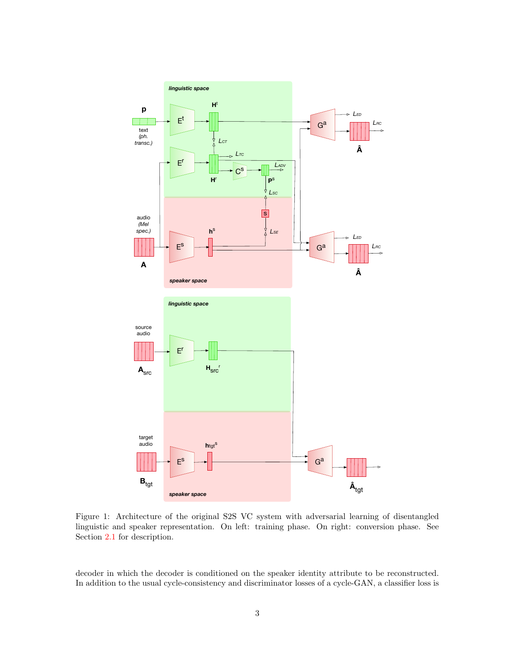<span id="page-2-0"></span>

Figure 1: Architecture of the original S2S VC system with adversarial learning of disentangled linguistic and speaker representation. On left: training phase. On right: conversion phase. See Section [2.1](#page-4-0) for description.

decoder in which the decoder is conditioned on the speaker identity attribute to be reconstructed. In addition to the usual cycle-consistency and discriminator losses of a cycle-GAN, a classifier loss is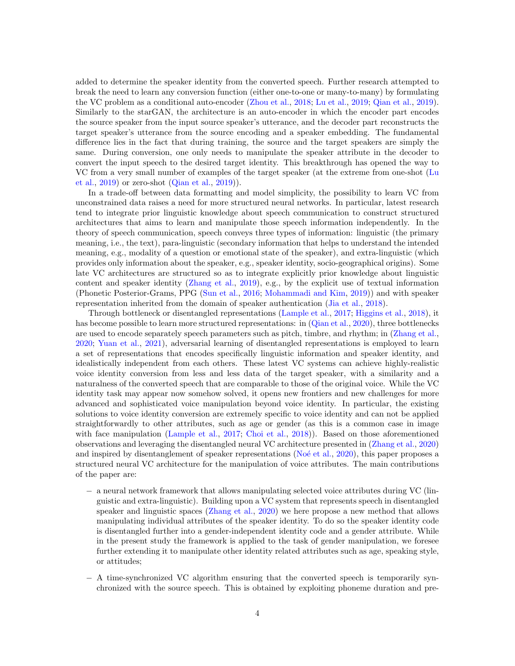added to determine the speaker identity from the converted speech. Further research attempted to break the need to learn any conversion function (either one-to-one or many-to-many) by formulating the VC problem as a conditional auto-encoder [\(Zhou et al.,](#page-16-4) [2018;](#page-16-4) [Lu et al.,](#page-14-9) [2019;](#page-14-9) [Qian et al.,](#page-15-4) [2019\)](#page-15-4). Similarly to the starGAN, the architecture is an auto-encoder in which the encoder part encodes the source speaker from the input source speaker's utterance, and the decoder part reconstructs the target speaker's utterance from the source encoding and a speaker embedding. The fundamental difference lies in the fact that during training, the source and the target speakers are simply the same. During conversion, one only needs to manipulate the speaker attribute in the decoder to convert the input speech to the desired target identity. This breakthrough has opened the way to VC from a very small number of examples of the target speaker (at the extreme from one-shot [\(Lu](#page-14-9) [et al.,](#page-14-9) [2019\)](#page-14-9) or zero-shot [\(Qian et al.,](#page-15-4) [2019\)](#page-15-4)).

In a trade-off between data formatting and model simplicity, the possibility to learn VC from unconstrained data raises a need for more structured neural networks. In particular, latest research tend to integrate prior linguistic knowledge about speech communication to construct structured architectures that aims to learn and manipulate those speech information independently. In the theory of speech communication, speech conveys three types of information: linguistic (the primary meaning, i.e., the text), para-linguistic (secondary information that helps to understand the intended meaning, e.g., modality of a question or emotional state of the speaker), and extra-linguistic (which provides only information about the speaker, e.g., speaker identity, socio-geographical origins). Some late VC architectures are structured so as to integrate explicitly prior knowledge about linguistic content and speaker identity [\(Zhang et al.,](#page-16-5) [2019\)](#page-16-5), e.g., by the explicit use of textual information (Phonetic Posterior-Grams, PPG [\(Sun et al.,](#page-15-5) [2016;](#page-15-5) [Mohammadi and Kim,](#page-14-10) [2019\)](#page-14-10)) and with speaker representation inherited from the domain of speaker authentication [\(Jia et al.,](#page-14-11) [2018\)](#page-14-11).

Through bottleneck or disentangled representations [\(Lample et al.,](#page-14-12) [2017;](#page-14-12) [Higgins et al.,](#page-13-6) [2018\)](#page-13-6), it has become possible to learn more structured representations: in [\(Qian et al.,](#page-15-6) [2020\)](#page-15-6), three bottlenecks are used to encode separately speech parameters such as pitch, timbre, and rhythm; in [\(Zhang et al.,](#page-16-6) [2020;](#page-16-6) [Yuan et al.,](#page-16-7) [2021\)](#page-16-7), adversarial learning of disentangled representations is employed to learn a set of representations that encodes specifically linguistic information and speaker identity, and idealistically independent from each others. These latest VC systems can achieve highly-realistic voice identity conversion from less and less data of the target speaker, with a similarity and a naturalness of the converted speech that are comparable to those of the original voice. While the VC identity task may appear now somehow solved, it opens new frontiers and new challenges for more advanced and sophisticated voice manipulation beyond voice identity. In particular, the existing solutions to voice identity conversion are extremely specific to voice identity and can not be applied straightforwardly to other attributes, such as age or gender (as this is a common case in image with face manipulation [\(Lample et al.,](#page-14-12) [2017;](#page-14-12) [Choi et al.,](#page-13-5) [2018\)](#page-13-5)). Based on those aforementioned observations and leveraging the disentangled neural VC architecture presented in [\(Zhang et al.,](#page-16-6) [2020\)](#page-16-6) and inspired by disentanglement of speaker representations ( $No\acute{e}$  et al., [2020\)](#page-15-7), this paper proposes a structured neural VC architecture for the manipulation of voice attributes. The main contributions of the paper are:

- − a neural network framework that allows manipulating selected voice attributes during VC (linguistic and extra-linguistic). Building upon a VC system that represents speech in disentangled speaker and linguistic spaces [\(Zhang et al.,](#page-16-6) [2020\)](#page-16-6) we here propose a new method that allows manipulating individual attributes of the speaker identity. To do so the speaker identity code is disentangled further into a gender-independent identity code and a gender attribute. While in the present study the framework is applied to the task of gender manipulation, we foresee further extending it to manipulate other identity related attributes such as age, speaking style, or attitudes;
- − A time-synchronized VC algorithm ensuring that the converted speech is temporarily synchronized with the source speech. This is obtained by exploiting phoneme duration and pre-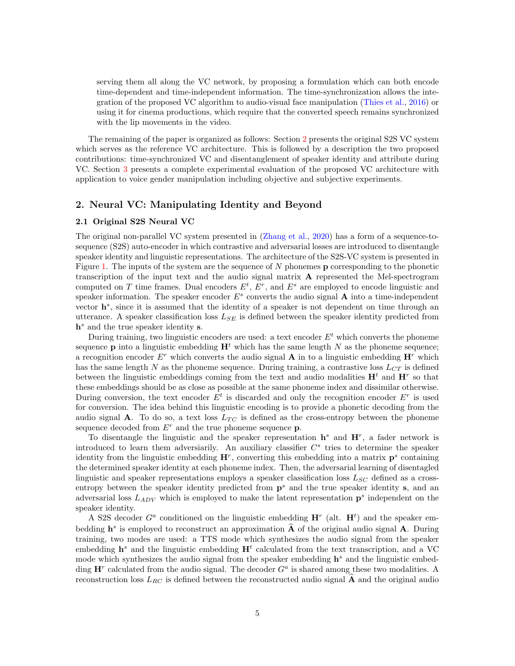serving them all along the VC network, by proposing a formulation which can both encode time-dependent and time-independent information. The time-synchronization allows the integration of the proposed VC algorithm to audio-visual face manipulation [\(Thies et al.,](#page-15-8) [2016\)](#page-15-8) or using it for cinema productions, which require that the converted speech remains synchronized with the lip movements in the video.

The remaining of the paper is organized as follows: Section [2](#page-4-1) presents the original S2S VC system which serves as the reference VC architecture. This is followed by a description the two proposed contributions: time-synchronized VC and disentanglement of speaker identity and attribute during VC. Section [3](#page-8-0) presents a complete experimental evaluation of the proposed VC architecture with application to voice gender manipulation including objective and subjective experiments.

## <span id="page-4-1"></span>2. Neural VC: Manipulating Identity and Beyond

#### <span id="page-4-0"></span>2.1 Original S2S Neural VC

The original non-parallel VC system presented in [\(Zhang et al.,](#page-16-6) [2020\)](#page-16-6) has a form of a sequence-tosequence (S2S) auto-encoder in which contrastive and adversarial losses are introduced to disentangle speaker identity and linguistic representations. The architecture of the S2S-VC system is presented in Figure [1.](#page-2-0) The inputs of the system are the sequence of  $N$  phonemes  $\bf{p}$  corresponding to the phonetic transcription of the input text and the audio signal matrix A represented the Mel-spectrogram computed on T time frames. Dual encoders  $E^t$ ,  $E^r$ , and  $E^s$  are employed to encode linguistic and speaker information. The speaker encoder  $E^s$  converts the audio signal  $A$  into a time-independent vector  $\mathbf{h}^{s}$ , since it is assumed that the identity of a speaker is not dependent on time through an utterance. A speaker classification loss  $L_{SE}$  is defined between the speaker identity predicted from  $h^s$  and the true speaker identity s.

During training, two linguistic encoders are used: a text encoder  $E<sup>t</sup>$  which converts the phoneme sequence **p** into a linguistic embedding  $\mathbf{H}^t$  which has the same length N as the phoneme sequence; a recognition encoder  $E^r$  which converts the audio signal **A** in to a linguistic embedding  $\mathbf{H}^r$  which has the same length N as the phoneme sequence. During training, a contrastive loss  $L_{CT}$  is defined between the linguistic embeddings coming from the text and audio modalities  $\mathbf{H}^t$  and  $\mathbf{H}^r$  so that these embeddings should be as close as possible at the same phoneme index and dissimilar otherwise. During conversion, the text encoder  $E^t$  is discarded and only the recognition encoder  $E^r$  is used for conversion. The idea behind this linguistic encoding is to provide a phonetic decoding from the audio signal **A**. To do so, a text loss  $L_{TC}$  is defined as the cross-entropy between the phoneme sequence decoded from  $E<sup>r</sup>$  and the true phoneme sequence **p**.

To disentangle the linguistic and the speaker representation  $\mathbf{h}^s$  and  $\mathbf{H}^r$ , a fader network is introduced to learn them adversiarily. An auxiliary classifier  $C^s$  tries to determine the speaker identity from the linguistic embedding  $\mathbf{H}^r$ , converting this embedding into a matrix  $\mathbf{p}^s$  containing the determined speaker identity at each phoneme index. Then, the adversarial learning of disentagled linguistic and speaker representations employs a speaker classification loss  $L_{SC}$  defined as a crossentropy between the speaker identity predicted from  $p<sup>s</sup>$  and the true speaker identity s, and an adversarial loss  $L_{ADV}$  which is employed to make the latent representation  $\mathbf{p}^s$  independent on the speaker identity.

A S2S decoder  $G^a$  conditioned on the linguistic embedding  $\mathbf{H}^r$  (alt.  $\mathbf{H}^t$ ) and the speaker embedding  $\mathbf{h}^s$  is employed to reconstruct an approximation  $\hat{\mathbf{A}}$  of the original audio signal  $\mathbf{A}$ . During training, two modes are used: a TTS mode which synthesizes the audio signal from the speaker embedding  $\mathbf{h}^s$  and the linguistic embedding  $\mathbf{H}^t$  calculated from the text transcription, and a VC mode which synthesizes the audio signal from the speaker embedding  $h^s$  and the linguistic embedding  $\mathbf{H}^r$  calculated from the audio signal. The decoder  $G^a$  is shared among these two modalities. A reconstruction loss  $L_{RC}$  is defined between the reconstructed audio signal A and the original audio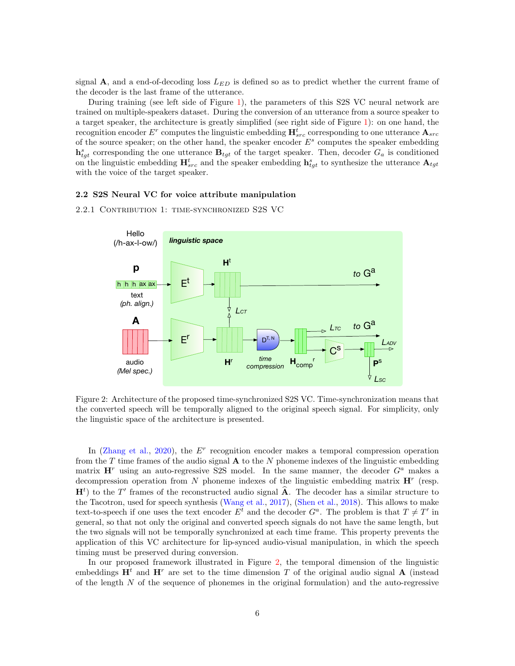signal A, and a end-of-decoding loss  $L_{ED}$  is defined so as to predict whether the current frame of the decoder is the last frame of the utterance.

During training (see left side of Figure [1\)](#page-2-0), the parameters of this S2S VC neural network are trained on multiple-speakers dataset. During the conversion of an utterance from a source speaker to a target speaker, the architecture is greatly simplified (see right side of Figure [1\)](#page-2-0): on one hand, the recognition encoder  $E^r$  computes the linguistic embedding  $\mathbf{H}_{src}^t$  corresponding to one utterance  $\mathbf{A}_{src}$ of the source speaker; on the other hand, the speaker encoder  $E^s$  computes the speaker embedding  $\mathbf{h}_{tgt}^s$  corresponding the one utterance  $\mathbf{B}_{tgt}$  of the target speaker. Then, decoder  $G_a$  is conditioned on the linguistic embedding  $H_{src}^t$  and the speaker embedding  $h_{tgt}^s$  to synthesize the utterance  $A_{tgt}$ with the voice of the target speaker.

#### 2.2 S2S Neural VC for voice attribute manipulation

<span id="page-5-0"></span>2.2.1 Contribution 1: time-synchronized S2S VC



Figure 2: Architecture of the proposed time-synchronized S2S VC. Time-synchronization means that the converted speech will be temporally aligned to the original speech signal. For simplicity, only the linguistic space of the architecture is presented.

In [\(Zhang et al.,](#page-16-6) [2020\)](#page-16-6), the  $E<sup>r</sup>$  recognition encoder makes a temporal compression operation from the T time frames of the audio signal  $\bf{A}$  to the N phoneme indexes of the linguistic embedding matrix  $\mathbf{H}^r$  using an auto-regressive S2S model. In the same manner, the decoder  $G^a$  makes a decompression operation from N phoneme indexes of the linguistic embedding matrix  $\mathbf{H}^r$  (resp.  $H<sup>t</sup>$ ) to the T' frames of the reconstructed audio signal  $\hat{A}$ . The decoder has a similar structure to the Tacotron, used for speech synthesis [\(Wang et al.,](#page-16-8) [2017\)](#page-16-8), [\(Shen et al.,](#page-15-9) [2018\)](#page-15-9). This allows to make text-to-speech if one uses the text encoder  $E^t$  and the decoder  $G^a$ . The problem is that  $T \neq T'$  in general, so that not only the original and converted speech signals do not have the same length, but the two signals will not be temporally synchronized at each time frame. This property prevents the application of this VC architecture for lip-synced audio-visual manipulation, in which the speech timing must be preserved during conversion.

In our proposed framework illustrated in Figure [2,](#page-5-0) the temporal dimension of the linguistic embeddings  $\mathbf{H}^t$  and  $\mathbf{H}^r$  are set to the time dimension T of the original audio signal **A** (instead of the length  $N$  of the sequence of phonemes in the original formulation) and the auto-regressive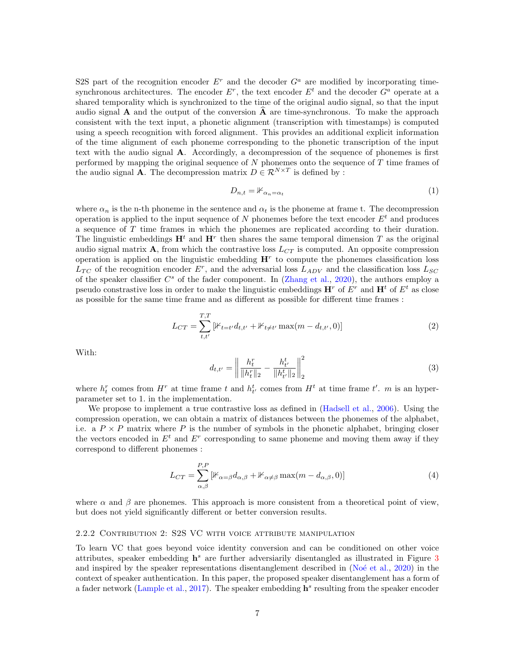S2S part of the recognition encoder  $E^r$  and the decoder  $G^a$  are modified by incorporating timesynchronous architectures. The encoder  $E^r$ , the text encoder  $E^t$  and the decoder  $G^a$  operate at a shared temporality which is synchronized to the time of the original audio signal, so that the input audio signal  $\bf{A}$  and the output of the conversion  $\bf{A}$  are time-synchronous. To make the approach consistent with the text input, a phonetic alignment (transcription with timestamps) is computed using a speech recognition with forced alignment. This provides an additional explicit information of the time alignment of each phoneme corresponding to the phonetic transcription of the input text with the audio signal A. Accordingly, a decompression of the sequence of phonemes is first performed by mapping the original sequence of  $N$  phonemes onto the sequence of  $T$  time frames of the audio signal **A**. The decompression matrix  $D \in \mathbb{R}^{N \times T}$  is defined by :

$$
D_{n,t} = \mathbb{1}_{\alpha_n = \alpha_t} \tag{1}
$$

where  $\alpha_n$  is the n-th phoneme in the sentence and  $\alpha_t$  is the phoneme at frame t. The decompression operation is applied to the input sequence of N phonemes before the text encoder  $E<sup>t</sup>$  and produces a sequence of T time frames in which the phonemes are replicated according to their duration. The linguistic embeddings  $\mathbf{H}^t$  and  $\mathbf{H}^r$  then shares the same temporal dimension T as the original audio signal matrix  $\mathbf{A}$ , from which the contrastive loss  $L_{CT}$  is computed. An opposite compression operation is applied on the linguistic embedding  $H<sup>r</sup>$  to compute the phonemes classification loss  $L_{TC}$  of the recognition encoder  $E^r$ , and the adversarial loss  $L_{ADV}$  and the classification loss  $L_{SC}$ of the speaker classifier  $C^s$  of the fader component. In [\(Zhang et al.,](#page-16-6) [2020\)](#page-16-6), the authors employ a pseudo constrastive loss in order to make the linguistic embeddings  $\mathbf{H}^r$  of  $E^r$  and  $\mathbf{H}^t$  of  $E^t$  as close as possible for the same time frame and as different as possible for different time frames :

$$
L_{CT} = \sum_{t,t'}^{T,T} \left[ \mathbb{1}_{t=t'} d_{t,t'} + \mathbb{1}_{t \neq t'} \max(m - d_{t,t'}, 0) \right]
$$
 (2)

With:

$$
d_{t,t'} = \left\| \frac{h_t^r}{\|h_t^r\|_2} - \frac{h_{t'}^t}{\|h_{t'}^t\|_2} \right\|_2^2
$$
 (3)

where  $h_t^r$  comes from  $H^r$  at time frame t and  $h_{t'}^t$  comes from  $H^t$  at time frame t'. m is an hyperparameter set to 1. in the implementation.

We propose to implement a true contrastive loss as defined in [\(Hadsell et al.,](#page-13-8) [2006\)](#page-13-8). Using the compression operation, we can obtain a matrix of distances between the phonemes of the alphabet, i.e. a  $P \times P$  matrix where P is the number of symbols in the phonetic alphabet, bringing closer the vectors encoded in  $E^t$  and  $E^r$  corresponding to same phoneme and moving them away if they correspond to different phonemes :

$$
L_{CT} = \sum_{\alpha,\beta}^{P,P} \left[ \mathbb{1}_{\alpha=\beta} d_{\alpha,\beta} + \mathbb{1}_{\alpha\neq\beta} \max(m - d_{\alpha,\beta}, 0) \right]
$$
 (4)

where  $\alpha$  and  $\beta$  are phonemes. This approach is more consistent from a theoretical point of view, but does not yield significantly different or better conversion results.

#### 2.2.2 Contribution 2: S2S VC with voice attribute manipulation

To learn VC that goes beyond voice identity conversion and can be conditioned on other voice attributes, speaker embedding  $h^s$  are further adversiarily disentangled as illustrated in Figure [3](#page-7-0) and inspired by the speaker representations disentanglement described in (No $\acute{e}$  et al., [2020\)](#page-15-7) in the context of speaker authentication. In this paper, the proposed speaker disentanglement has a form of a fader network [\(Lample et al.,](#page-14-12) [2017\)](#page-14-12). The speaker embedding  $\mathbf{h}^s$  resulting from the speaker encoder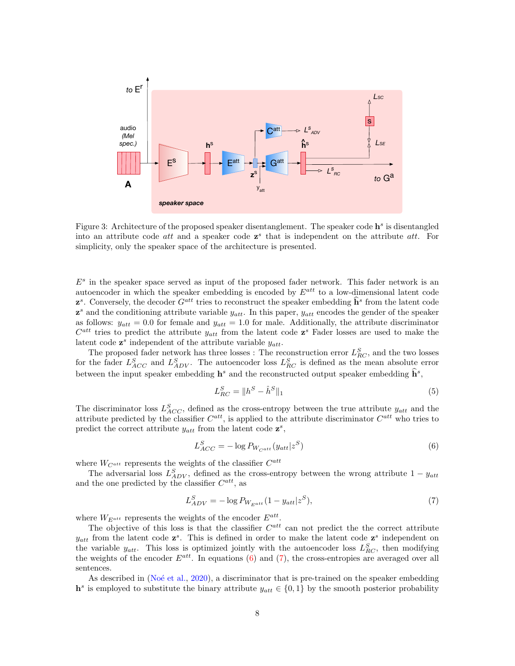<span id="page-7-0"></span>

Figure 3: Architecture of the proposed speaker disentanglement. The speaker code  $\mathbf{h}^s$  is disentangled into an attribute code  $att$  and a speaker code  $z^s$  that is independent on the attribute  $att$ . For simplicity, only the speaker space of the architecture is presented.

 $E<sup>s</sup>$  in the speaker space served as input of the proposed fader network. This fader network is an autoencoder in which the speaker embedding is encoded by  $E^{att}$  to a low-dimensional latent code  $\mathbf{z}^s$ . Conversely, the decoder  $G^{att}$  tries to reconstruct the speaker embedding  $\hat{\mathbf{h}}^s$  from the latent code  $z^s$  and the conditioning attribute variable  $y_{att}$ . In this paper,  $y_{att}$  encodes the gender of the speaker as follows:  $y_{att} = 0.0$  for female and  $y_{att} = 1.0$  for male. Additionally, the attribute discriminator  $C^{att}$  tries to predict the attribute  $y_{att}$  from the latent code  $z^s$  Fader losses are used to make the latent code  $z^s$  independent of the attribute variable  $y_{att}$ .

The proposed fader network has three losses : The reconstruction error  $L_{RC}^S$ , and the two losses for the fader  $L_{ACC}^S$  and  $L_{ADV}^S$ . The autoencoder loss  $L_{RC}^S$  is defined as the mean absolute error between the input speaker embedding  $\mathbf{h}^s$  and the reconstructed output speaker embedding  $\widehat{\mathbf{h}}^s$ ,

$$
L_{RC}^S = \|h^S - \hat{h}^S\|_1 \tag{5}
$$

The discriminator loss  $L_{ACC}^S$ , defined as the cross-entropy between the true attribute  $y_{att}$  and the attribute predicted by the classifier  $C^{att}$ , is applied to the attribute discriminator  $C^{att}$  who tries to predict the correct attribute  $y_{att}$  from the latent code  $\mathbf{z}^s$ ,

<span id="page-7-1"></span>
$$
L_{ACC}^{S} = -\log P_{W_{Catt}}(y_{att}|z^{S})
$$
\n
$$
\tag{6}
$$

where  $W_{C^{att}}$  represents the weights of the classifier  $C^{att}$ 

The adversarial loss  $L_{ADV}^S$ , defined as the cross-entropy between the wrong attribute  $1 - y_{att}$ and the one predicted by the classifier  $C^{att}$ , as

<span id="page-7-2"></span>
$$
L_{ADV}^{S} = -\log P_{W_{E^{att}}}(1 - y_{att}|z^{S}),
$$
\n(7)

where  $W_{E^{att}}$  represents the weights of the encoder  $E^{att}$ .

The objective of this loss is that the classifier  $C^{att}$  can not predict the the correct attribute  $y_{att}$  from the latent code  $z^s$ . This is defined in order to make the latent code  $z^s$  independent on the variable  $y_{att}$ . This loss is optimized jointly with the autoencoder loss  $L_{RC}^S$ , then modifying the weights of the encoder  $E^{att}$ . In equations [\(6\)](#page-7-1) and [\(7\)](#page-7-2), the cross-entropies are averaged over all sentences.

As described in  $(No\acute{e}t$  al., [2020\)](#page-15-7), a discriminator that is pre-trained on the speaker embedding  $h^s$  is employed to substitute the binary attribute  $y_{att} \in \{0,1\}$  by the smooth posterior probability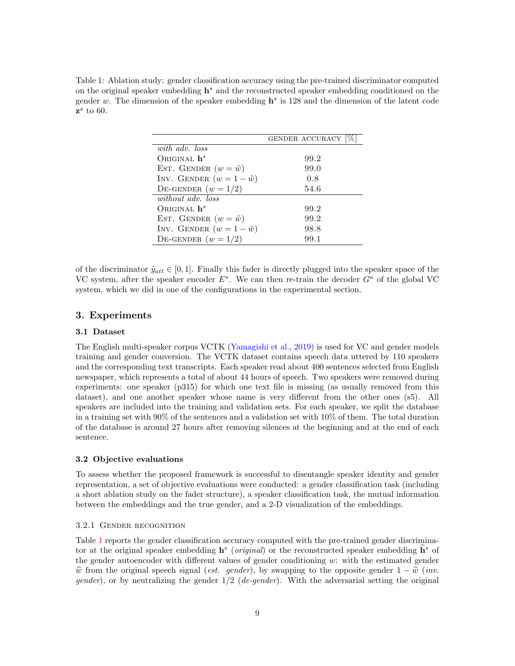<span id="page-8-1"></span>Table 1: Ablation study: gender classification accuracy using the pre-trained discriminator computed on the original speaker embedding  $h^s$  and the reconstructed speaker embedding conditioned on the gender w. The dimension of the speaker embedding  $\mathbf{h}^s$  is 128 and the dimension of the latent code  $z^s$  to 60.

|                                   | GENDER ACCURACY |
|-----------------------------------|-----------------|
| with adv. loss                    |                 |
| ORIGINAL $h^s$                    | 99.2            |
| EST. GENDER $(w = \tilde{w})$     | 99.0            |
| INV. GENDER $(w = 1 - \tilde{w})$ | 0.8             |
| DE-GENDER $(w = 1/2)$             | 54.6            |
| without adv. loss                 |                 |
| ORIGINAL $\mathbf{h}^s$           | 99.2            |
| EST. GENDER $(w = \tilde{w})$     | 99.2            |
| INV. GENDER $(w = 1 - \tilde{w})$ | 98.8            |
| DE-GENDER $(w = 1/2)$             | 99.1            |

of the discriminator  $\tilde{y}_{att} \in [0, 1]$ . Finally this fader is directly plugged into the speaker space of the VC system, after the speaker encoder  $E^s$ . We can then re-train the decoder  $G^a$  of the global VC system, which we did in one of the configurations in the experimental section.

## <span id="page-8-0"></span>3. Experiments

#### 3.1 Dataset

The English multi-speaker corpus VCTK [\(Yamagishi et al.,](#page-16-9) [2019\)](#page-16-9) is used for VC and gender models training and gender conversion. The VCTK dataset contains speech data uttered by 110 speakers and the corresponding text transcripts. Each speaker read about 400 sentences selected from English newspaper, which represents a total of about 44 hours of speech. Two speakers were removed during experiments: one speaker (p315) for which one text file is missing (as usually removed from this dataset), and one another speaker whose name is very different from the other ones (s5). All speakers are included into the training and validation sets. For each speaker, we split the database in a training set with 90% of the sentences and a validation set with 10% of them. The total duration of the database is around 27 hours after removing silences at the beginning and at the end of each sentence.

#### 3.2 Objective evaluations

To assess whether the proposed framework is successful to disentangle speaker identity and gender representation, a set of objective evaluations were conducted: a gender classification task (including a short ablation study on the fader structure), a speaker classification task, the mutual information between the embeddings and the true gender, and a 2-D visualization of the embeddings.

#### 3.2.1 Gender recognition

Table [1](#page-8-1) reports the gender classification accuracy computed with the pre-trained gender discriminator at the original speaker embedding  $\mathbf{h}^s$  (*original*) or the reconstructed speaker embedding  $\hat{\mathbf{h}}^s$  of the gender autoencoder with different values of gender conditioning  $w$ : with the estimated gender  $\hat{w}$  from the original speech signal (est. gender), by swapping to the opposite gender  $1 - \hat{w}$  (inv. *gender*), or by neutralizing the gender  $1/2$  (*de-gender*). With the adversarial setting the original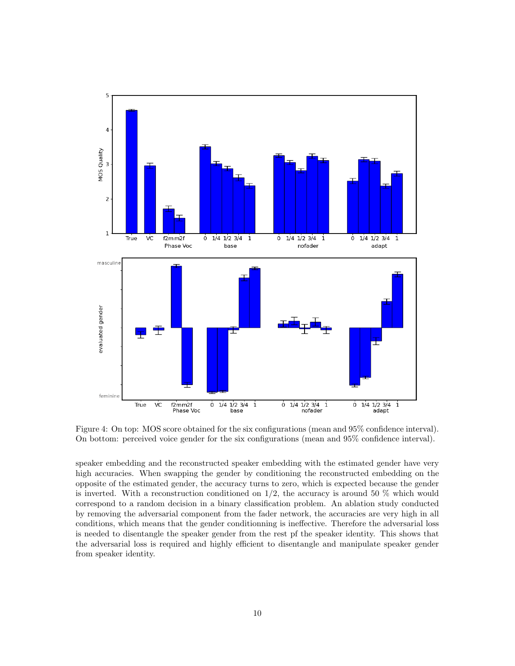<span id="page-9-0"></span>

Figure 4: On top: MOS score obtained for the six configurations (mean and 95% confidence interval). On bottom: perceived voice gender for the six configurations (mean and 95% confidence interval).

speaker embedding and the reconstructed speaker embedding with the estimated gender have very high accuracies. When swapping the gender by conditioning the reconstructed embedding on the opposite of the estimated gender, the accuracy turns to zero, which is expected because the gender is inverted. With a reconstruction conditioned on  $1/2$ , the accuracy is around 50 % which would correspond to a random decision in a binary classification problem. An ablation study conducted by removing the adversarial component from the fader network, the accuracies are very high in all conditions, which means that the gender conditionning is ineffective. Therefore the adversarial loss is needed to disentangle the speaker gender from the rest pf the speaker identity. This shows that the adversarial loss is required and highly efficient to disentangle and manipulate speaker gender from speaker identity.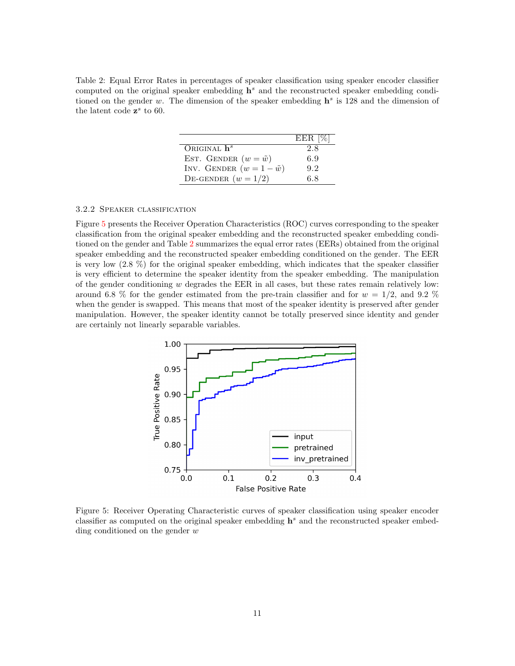<span id="page-10-1"></span>Table 2: Equal Error Rates in percentages of speaker classification using speaker encoder classifier computed on the original speaker embedding  $h^s$  and the reconstructed speaker embedding conditioned on the gender w. The dimension of the speaker embedding  $h^s$  is 128 and the dimension of the latent code  $z^s$  to 60.

|                                   | $EER$ [%] |
|-----------------------------------|-----------|
| ORIGINAL $h^s$                    | 2.8       |
| EST. GENDER $(w = \tilde{w})$     | 6.9       |
| INV. GENDER $(w = 1 - \tilde{w})$ | 9.2       |
| DE-GENDER $(w = 1/2)$             | 68        |

### 3.2.2 Speaker classification

Figure [5](#page-10-0) presents the Receiver Operation Characteristics (ROC) curves corresponding to the speaker classification from the original speaker embedding and the reconstructed speaker embedding conditioned on the gender and Table [2](#page-10-1) summarizes the equal error rates (EERs) obtained from the original speaker embedding and the reconstructed speaker embedding conditioned on the gender. The EER is very low (2.8 %) for the original speaker embedding, which indicates that the speaker classifier is very efficient to determine the speaker identity from the speaker embedding. The manipulation of the gender conditioning  $w$  degrades the EER in all cases, but these rates remain relatively low: around 6.8 % for the gender estimated from the pre-train classifier and for  $w = 1/2$ , and 9.2 % when the gender is swapped. This means that most of the speaker identity is preserved after gender manipulation. However, the speaker identity cannot be totally preserved since identity and gender are certainly not linearly separable variables.

<span id="page-10-0"></span>

Figure 5: Receiver Operating Characteristic curves of speaker classification using speaker encoder classifier as computed on the original speaker embedding  $\mathbf{h}^s$  and the reconstructed speaker embedding conditioned on the gender  $w$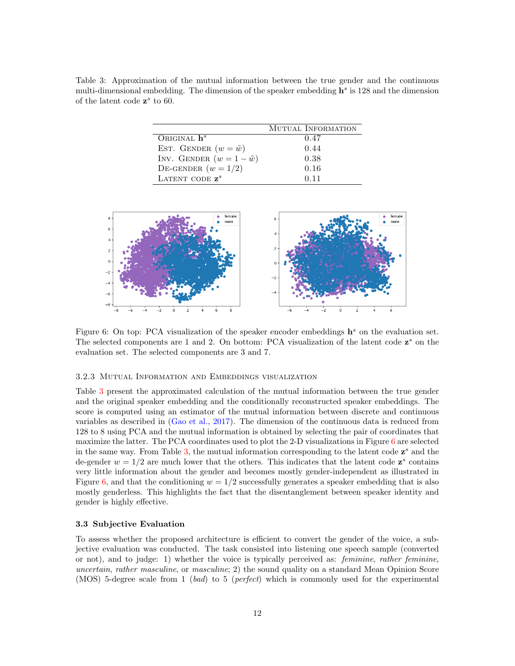<span id="page-11-0"></span>Table 3: Approximation of the mutual information between the true gender and the continuous multi-dimensional embedding. The dimension of the speaker embedding  $\mathbf{h}^s$  is 128 and the dimension of the latent code  $z^s$  to 60.

|                                   | MUTUAL INFORMATION |
|-----------------------------------|--------------------|
| ORIGINAL $\mathbf{h}^s$           | 0.47               |
| EST. GENDER $(w = \tilde{w})$     | 0.44               |
| INV. GENDER $(w = 1 - \tilde{w})$ | 0.38               |
| DE-GENDER $(w = 1/2)$             | 0.16               |
| LATENT CODE $z^s$                 | 0.11               |

<span id="page-11-1"></span>

Figure 6: On top: PCA visualization of the speaker encoder embeddings  $\mathbf{h}^s$  on the evaluation set. The selected components are 1 and 2. On bottom: PCA visualization of the latent code  $z^s$  on the evaluation set. The selected components are 3 and 7.

#### 3.2.3 Mutual Information and Embeddings visualization

Table [3](#page-11-0) present the approximated calculation of the mutual information between the true gender and the original speaker embedding and the conditionally reconstructed speaker embeddings. The score is computed using an estimator of the mutual information between discrete and continuous variables as described in [\(Gao et al.,](#page-13-9) [2017\)](#page-13-9). The dimension of the continuous data is reduced from 128 to 8 using PCA and the mutual information is obtained by selecting the pair of coordinates that maximize the latter. The PCA coordinates used to plot the 2-D visualizations in Figure  $6$  are selected in the same way. From Table [3,](#page-11-0) the mutual information corresponding to the latent code  $z^s$  and the de-gender  $w = 1/2$  are much lower that the others. This indicates that the latent code  $z^s$  contains very little information about the gender and becomes mostly gender-independent as illustrated in Figure [6,](#page-11-1) and that the conditioning  $w = 1/2$  successfully generates a speaker embedding that is also mostly genderless. This highlights the fact that the disentanglement between speaker identity and gender is highly effective.

#### 3.3 Subjective Evaluation

To assess whether the proposed architecture is efficient to convert the gender of the voice, a subjective evaluation was conducted. The task consisted into listening one speech sample (converted or not), and to judge: 1) whether the voice is typically perceived as: feminine, rather feminine, uncertain, rather masculine, or masculine; 2) the sound quality on a standard Mean Opinion Score (MOS) 5-degree scale from 1 (bad) to 5 (perfect) which is commonly used for the experimental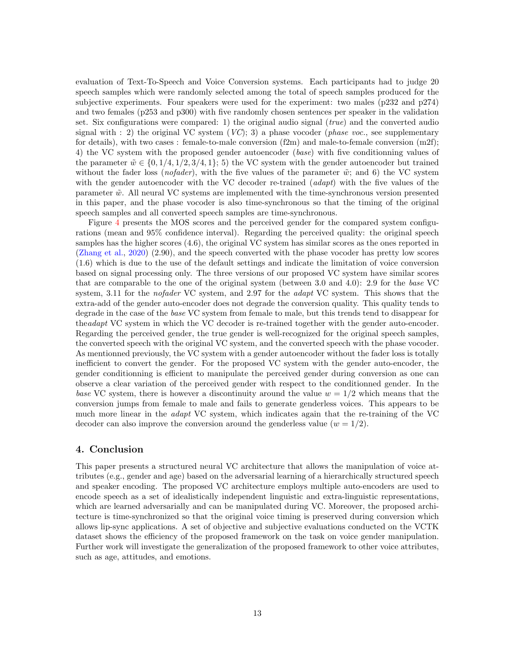evaluation of Text-To-Speech and Voice Conversion systems. Each participants had to judge 20 speech samples which were randomly selected among the total of speech samples produced for the subjective experiments. Four speakers were used for the experiment: two males (p232 and p274) and two females (p253 and p300) with five randomly chosen sentences per speaker in the validation set. Six configurations were compared: 1) the original audio signal ( $true$ ) and the converted audio signal with : 2) the original VC system  $(VC)$ ; 3) a phase vocoder (*phase voc.*, see supplementary for details), with two cases : female-to-male conversion  $(f2m)$  and male-to-female conversion  $(m2f)$ ; 4) the VC system with the proposed gender autoencoder (base) with five conditionning values of the parameter  $\tilde{w} \in \{0, 1/4, 1/2, 3/4, 1\};$  5) the VC system with the gender autoencoder but trained without the fader loss (*nofader*), with the five values of the parameter  $\tilde{w}$ ; and 6) the VC system with the gender autoencoder with the VC decoder re-trained (*adapt*) with the five values of the parameter  $\tilde{w}$ . All neural VC systems are implemented with the time-synchronous version presented in this paper, and the phase vocoder is also time-synchronous so that the timing of the original speech samples and all converted speech samples are time-synchronous.

Figure [4](#page-9-0) presents the MOS scores and the perceived gender for the compared system configurations (mean and 95% confidence interval). Regarding the perceived quality: the original speech samples has the higher scores (4.6), the original VC system has similar scores as the ones reported in [\(Zhang et al.,](#page-16-6) [2020\)](#page-16-6) (2.90), and the speech converted with the phase vocoder has pretty low scores (1.6) which is due to the use of the default settings and indicate the limitation of voice conversion based on signal processing only. The three versions of our proposed VC system have similar scores that are comparable to the one of the original system (between 3.0 and 4.0): 2.9 for the base VC system, 3.11 for the *nofader* VC system, and 2.97 for the *adapt* VC system. This shows that the extra-add of the gender auto-encoder does not degrade the conversion quality. This quality tends to degrade in the case of the base VC system from female to male, but this trends tend to disappear for theadapt VC system in which the VC decoder is re-trained together with the gender auto-encoder. Regarding the perceived gender, the true gender is well-recognized for the original speech samples, the converted speech with the original VC system, and the converted speech with the phase vocoder. As mentionned previously, the VC system with a gender autoencoder without the fader loss is totally inefficient to convert the gender. For the proposed VC system with the gender auto-encoder, the gender conditionning is efficient to manipulate the perceived gender during conversion as one can observe a clear variation of the perceived gender with respect to the conditionned gender. In the base VC system, there is however a discontinuity around the value  $w = 1/2$  which means that the conversion jumps from female to male and fails to generate genderless voices. This appears to be much more linear in the *adapt* VC system, which indicates again that the re-training of the VC decoder can also improve the conversion around the genderless value  $(w = 1/2)$ .

## 4. Conclusion

This paper presents a structured neural VC architecture that allows the manipulation of voice attributes (e.g., gender and age) based on the adversarial learning of a hierarchically structured speech and speaker encoding. The proposed VC architecture employs multiple auto-encoders are used to encode speech as a set of idealistically independent linguistic and extra-linguistic representations, which are learned adversarially and can be manipulated during VC. Moreover, the proposed architecture is time-synchronized so that the original voice timing is preserved during conversion which allows lip-sync applications. A set of objective and subjective evaluations conducted on the VCTK dataset shows the efficiency of the proposed framework on the task on voice gender manipulation. Further work will investigate the generalization of the proposed framework to other voice attributes, such as age, attitudes, and emotions.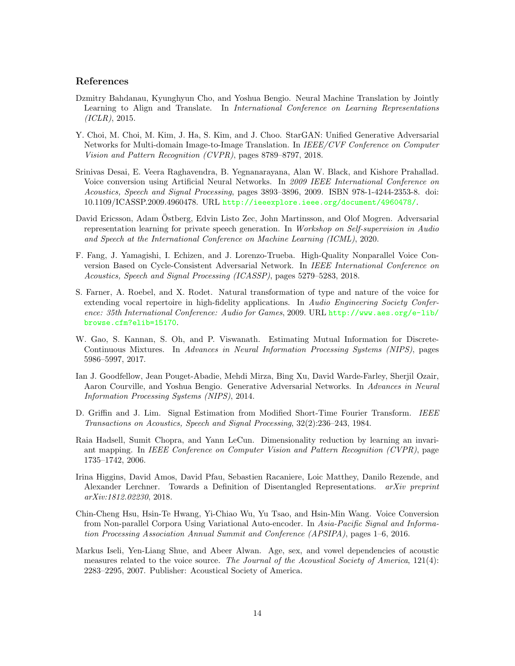## References

- <span id="page-13-3"></span>Dzmitry Bahdanau, Kyunghyun Cho, and Yoshua Bengio. Neural Machine Translation by Jointly Learning to Align and Translate. In International Conference on Learning Representations  $(ICLR), 2015.$
- <span id="page-13-5"></span>Y. Choi, M. Choi, M. Kim, J. Ha, S. Kim, and J. Choo. StarGAN: Unified Generative Adversarial Networks for Multi-domain Image-to-Image Translation. In IEEE/CVF Conference on Computer Vision and Pattern Recognition (CVPR), pages 8789–8797, 2018.
- <span id="page-13-1"></span>Srinivas Desai, E. Veera Raghavendra, B. Yegnanarayana, Alan W. Black, and Kishore Prahallad. Voice conversion using Artificial Neural Networks. In 2009 IEEE International Conference on Acoustics, Speech and Signal Processing, pages 3893–3896, 2009. ISBN 978-1-4244-2353-8. doi: 10.1109/ICASSP.2009.4960478. URL <http://ieeexplore.ieee.org/document/4960478/>.
- <span id="page-13-0"></span>David Ericsson, Adam Ostberg, Edvin Listo Zec, John Martinsson, and Olof Mogren. Adversarial ¨ representation learning for private speech generation. In Workshop on Self-supervision in Audio and Speech at the International Conference on Machine Learning (ICML), 2020.
- <span id="page-13-7"></span>F. Fang, J. Yamagishi, I. Echizen, and J. Lorenzo-Trueba. High-Quality Nonparallel Voice Conversion Based on Cycle-Consistent Adversarial Network. In IEEE International Conference on Acoustics, Speech and Signal Processing (ICASSP), pages 5279–5283, 2018.
- <span id="page-13-12"></span>S. Farner, A. Roebel, and X. Rodet. Natural transformation of type and nature of the voice for extending vocal repertoire in high-fidelity applications. In Audio Engineering Society Conference: 35th International Conference: Audio for Games, 2009. URL [http://www.aes.org/e-lib/](http://www.aes.org/e-lib/browse.cfm?elib=15170) [browse.cfm?elib=15170](http://www.aes.org/e-lib/browse.cfm?elib=15170).
- <span id="page-13-9"></span>W. Gao, S. Kannan, S. Oh, and P. Viswanath. Estimating Mutual Information for Discrete-Continuous Mixtures. In Advances in Neural Information Processing Systems (NIPS), pages 5986–5997, 2017.
- <span id="page-13-2"></span>Ian J. Goodfellow, Jean Pouget-Abadie, Mehdi Mirza, Bing Xu, David Warde-Farley, Sherjil Ozair, Aaron Courville, and Yoshua Bengio. Generative Adversarial Networks. In Advances in Neural Information Processing Systems (NIPS), 2014.
- <span id="page-13-10"></span>D. Griffin and J. Lim. Signal Estimation from Modified Short-Time Fourier Transform. IEEE Transactions on Acoustics, Speech and Signal Processing, 32(2):236–243, 1984.
- <span id="page-13-8"></span>Raia Hadsell, Sumit Chopra, and Yann LeCun. Dimensionality reduction by learning an invariant mapping. In IEEE Conference on Computer Vision and Pattern Recognition (CVPR), page 1735–1742, 2006.
- <span id="page-13-6"></span>Irina Higgins, David Amos, David Pfau, Sebastien Racaniere, Loic Matthey, Danilo Rezende, and Alexander Lerchner. Towards a Definition of Disentangled Representations. arXiv preprint arXiv:1812.02230, 2018.
- <span id="page-13-4"></span>Chin-Cheng Hsu, Hsin-Te Hwang, Yi-Chiao Wu, Yu Tsao, and Hsin-Min Wang. Voice Conversion from Non-parallel Corpora Using Variational Auto-encoder. In Asia-Pacific Signal and Information Processing Association Annual Summit and Conference (APSIPA), pages 1–6, 2016.
- <span id="page-13-11"></span>Markus Iseli, Yen-Liang Shue, and Abeer Alwan. Age, sex, and vowel dependencies of acoustic measures related to the voice source. The Journal of the Acoustical Society of America, 121(4): 2283–2295, 2007. Publisher: Acoustical Society of America.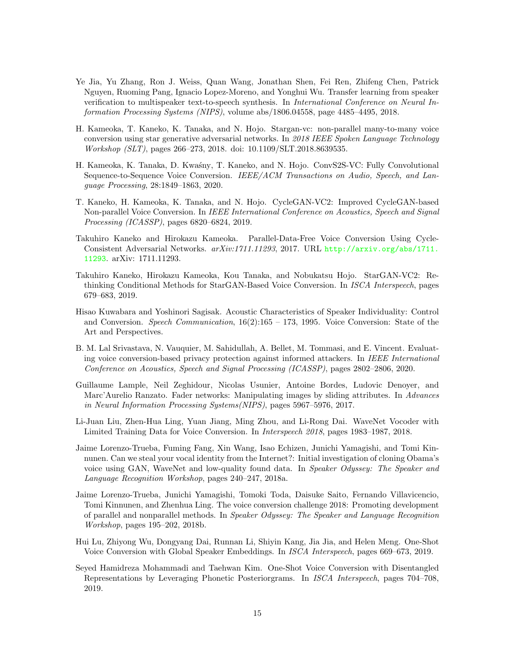- <span id="page-14-11"></span>Ye Jia, Yu Zhang, Ron J. Weiss, Quan Wang, Jonathan Shen, Fei Ren, Zhifeng Chen, Patrick Nguyen, Ruoming Pang, Ignacio Lopez-Moreno, and Yonghui Wu. Transfer learning from speaker verification to multispeaker text-to-speech synthesis. In International Conference on Neural Information Processing Systems (NIPS), volume abs/1806.04558, page 4485–4495, 2018.
- <span id="page-14-7"></span>H. Kameoka, T. Kaneko, K. Tanaka, and N. Hojo. Stargan-vc: non-parallel many-to-many voice conversion using star generative adversarial networks. In 2018 IEEE Spoken Language Technology Workshop (SLT), pages 266–273, 2018. doi: 10.1109/SLT.2018.8639535.
- <span id="page-14-6"></span>H. Kameoka, K. Tanaka, D. Kwa´sny, T. Kaneko, and N. Hojo. ConvS2S-VC: Fully Convolutional Sequence-to-Sequence Voice Conversion. IEEE/ACM Transactions on Audio, Speech, and Language Processing, 28:1849–1863, 2020.
- <span id="page-14-5"></span>T. Kaneko, H. Kameoka, K. Tanaka, and N. Hojo. CycleGAN-VC2: Improved CycleGAN-based Non-parallel Voice Conversion. In IEEE International Conference on Acoustics, Speech and Signal Processing (ICASSP), pages 6820–6824, 2019.
- <span id="page-14-4"></span>Takuhiro Kaneko and Hirokazu Kameoka. Parallel-Data-Free Voice Conversion Using Cycle-Consistent Adversarial Networks. arXiv:1711.11293, 2017. URL [http://arxiv.org/abs/1711.](http://arxiv.org/abs/1711.11293) [11293](http://arxiv.org/abs/1711.11293). arXiv: 1711.11293.
- <span id="page-14-8"></span>Takuhiro Kaneko, Hirokazu Kameoka, Kou Tanaka, and Nobukatsu Hojo. StarGAN-VC2: Rethinking Conditional Methods for StarGAN-Based Voice Conversion. In ISCA Interspeech, pages 679–683, 2019.
- <span id="page-14-0"></span>Hisao Kuwabara and Yoshinori Sagisak. Acoustic Characteristics of Speaker Individuality: Control and Conversion. Speech Communication, 16(2):165 – 173, 1995. Voice Conversion: State of the Art and Perspectives.
- <span id="page-14-3"></span>B. M. Lal Srivastava, N. Vauquier, M. Sahidullah, A. Bellet, M. Tommasi, and E. Vincent. Evaluating voice conversion-based privacy protection against informed attackers. In IEEE International Conference on Acoustics, Speech and Signal Processing (ICASSP), pages 2802–2806, 2020.
- <span id="page-14-12"></span>Guillaume Lample, Neil Zeghidour, Nicolas Usunier, Antoine Bordes, Ludovic Denoyer, and Marc'Aurelio Ranzato. Fader networks: Manipulating images by sliding attributes. In Advances in Neural Information Processing Systems(NIPS), pages 5967–5976, 2017.
- <span id="page-14-13"></span>Li-Juan Liu, Zhen-Hua Ling, Yuan Jiang, Ming Zhou, and Li-Rong Dai. WaveNet Vocoder with Limited Training Data for Voice Conversion. In Interspeech 2018, pages 1983–1987, 2018.
- <span id="page-14-2"></span>Jaime Lorenzo-Trueba, Fuming Fang, Xin Wang, Isao Echizen, Junichi Yamagishi, and Tomi Kinnunen. Can we steal your vocal identity from the Internet?: Initial investigation of cloning Obama's voice using GAN, WaveNet and low-quality found data. In Speaker Odyssey: The Speaker and Language Recognition Workshop, pages 240–247, 2018a.
- <span id="page-14-1"></span>Jaime Lorenzo-Trueba, Junichi Yamagishi, Tomoki Toda, Daisuke Saito, Fernando Villavicencio, Tomi Kinnunen, and Zhenhua Ling. The voice conversion challenge 2018: Promoting development of parallel and nonparallel methods. In Speaker Odyssey: The Speaker and Language Recognition Workshop, pages 195–202, 2018b.
- <span id="page-14-9"></span>Hui Lu, Zhiyong Wu, Dongyang Dai, Runnan Li, Shiyin Kang, Jia Jia, and Helen Meng. One-Shot Voice Conversion with Global Speaker Embeddings. In ISCA Interspeech, pages 669–673, 2019.
- <span id="page-14-10"></span>Seyed Hamidreza Mohammadi and Taehwan Kim. One-Shot Voice Conversion with Disentangled Representations by Leveraging Phonetic Posteriorgrams. In ISCA Interspeech, pages 704–708, 2019.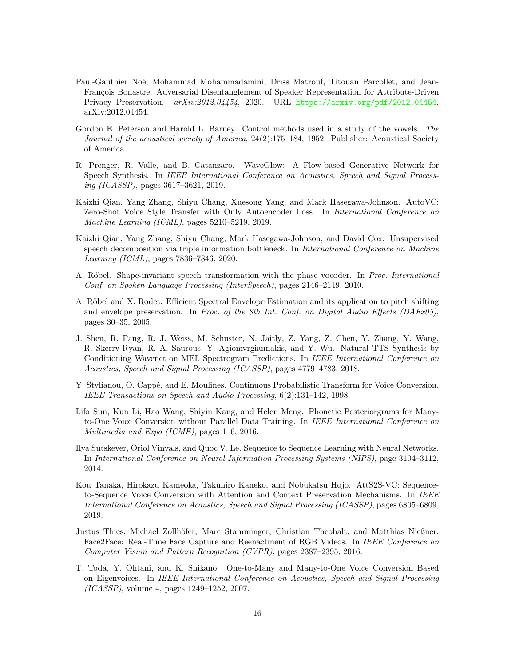- <span id="page-15-7"></span>Paul-Gauthier Noé, Mohammad Mohammadamini, Driss Matrouf, Titouan Parcollet, and Jean-François Bonastre. Adversarial Disentanglement of Speaker Representation for Attribute-Driven Privacy Preservation. arXiv:2012.04454, 2020. URL <https://arxiv.org/pdf/2012.04454>. arXiv:2012.04454.
- <span id="page-15-11"></span>Gordon E. Peterson and Harold L. Barney. Control methods used in a study of the vowels. The Journal of the acoustical society of America, 24(2):175–184, 1952. Publisher: Acoustical Society of America.
- <span id="page-15-10"></span>R. Prenger, R. Valle, and B. Catanzaro. WaveGlow: A Flow-based Generative Network for Speech Synthesis. In IEEE International Conference on Acoustics, Speech and Signal Processing (ICASSP), pages 3617–3621, 2019.
- <span id="page-15-4"></span>Kaizhi Qian, Yang Zhang, Shiyu Chang, Xuesong Yang, and Mark Hasegawa-Johnson. AutoVC: Zero-Shot Voice Style Transfer with Only Autoencoder Loss. In International Conference on Machine Learning (ICML), pages 5210–5219, 2019.
- <span id="page-15-6"></span>Kaizhi Qian, Yang Zhang, Shiyu Chang, Mark Hasegawa-Johnson, and David Cox. Unsupervised speech decomposition via triple information bottleneck. In *International Conference on Machine* Learning (ICML), pages 7836–7846, 2020.
- <span id="page-15-12"></span>A. Röbel. Shape-invariant speech transformation with the phase vocoder. In *Proc. International* Conf. on Spoken Language Processing (InterSpeech), pages 2146–2149, 2010.
- <span id="page-15-13"></span>A. Röbel and X. Rodet. Efficient Spectral Envelope Estimation and its application to pitch shifting and envelope preservation. In Proc. of the 8th Int. Conf. on Digital Audio Effects (DAFx05), pages 30–35, 2005.
- <span id="page-15-9"></span>J. Shen, R. Pang, R. J. Weiss, M. Schuster, N. Jaitly, Z. Yang, Z. Chen, Y. Zhang, Y. Wang, R. Skerrv-Ryan, R. A. Saurous, Y. Agiomvrgiannakis, and Y. Wu. Natural TTS Synthesis by Conditioning Wavenet on MEL Spectrogram Predictions. In IEEE International Conference on Acoustics, Speech and Signal Processing (ICASSP), pages 4779–4783, 2018.
- <span id="page-15-0"></span>Y. Stylianou, O. Cappé, and E. Moulines. Continuous Probabilistic Transform for Voice Conversion. IEEE Transactions on Speech and Audio Processing, 6(2):131–142, 1998.
- <span id="page-15-5"></span>Lifa Sun, Kun Li, Hao Wang, Shiyin Kang, and Helen Meng. Phonetic Posteriorgrams for Manyto-One Voice Conversion without Parallel Data Training. In IEEE International Conference on Multimedia and Expo (ICME), pages 1–6, 2016.
- <span id="page-15-2"></span>Ilya Sutskever, Oriol Vinyals, and Quoc V. Le. Sequence to Sequence Learning with Neural Networks. In International Conference on Neural Information Processing Systems (NIPS), page 3104–3112, 2014.
- <span id="page-15-3"></span>Kou Tanaka, Hirokazu Kameoka, Takuhiro Kaneko, and Nobukatsu Hojo. AttS2S-VC: Sequenceto-Sequence Voice Conversion with Attention and Context Preservation Mechanisms. In IEEE International Conference on Acoustics, Speech and Signal Processing (ICASSP), pages 6805–6809, 2019.
- <span id="page-15-8"></span>Justus Thies, Michael Zollhöfer, Marc Stamminger, Christian Theobalt, and Matthias Nießner. Face2Face: Real-Time Face Capture and Reenactment of RGB Videos. In IEEE Conference on Computer Vision and Pattern Recognition (CVPR), pages 2387–2395, 2016.
- <span id="page-15-1"></span>T. Toda, Y. Ohtani, and K. Shikano. One-to-Many and Many-to-One Voice Conversion Based on Eigenvoices. In IEEE International Conference on Acoustics, Speech and Signal Processing (ICASSP), volume 4, pages 1249–1252, 2007.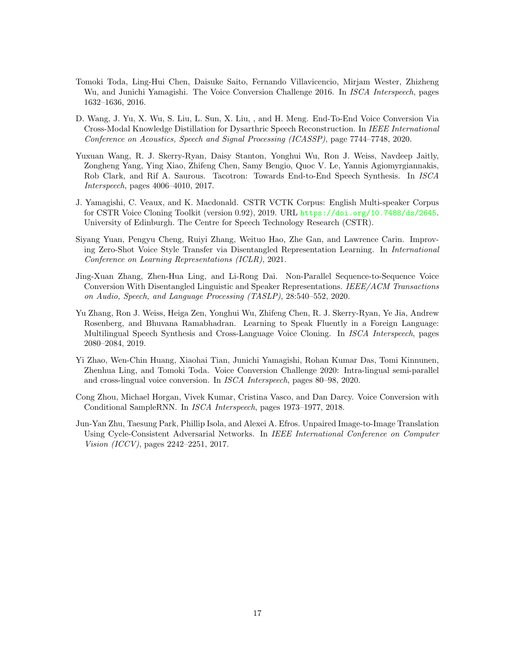- <span id="page-16-0"></span>Tomoki Toda, Ling-Hui Chen, Daisuke Saito, Fernando Villavicencio, Mirjam Wester, Zhizheng Wu, and Junichi Yamagishi. The Voice Conversion Challenge 2016. In *ISCA Interspeech*, pages 1632–1636, 2016.
- <span id="page-16-2"></span>D. Wang, J. Yu, X. Wu, S. Liu, L. Sun, X. Liu, , and H. Meng. End-To-End Voice Conversion Via Cross-Modal Knowledge Distillation for Dysarthric Speech Reconstruction. In IEEE International Conference on Acoustics, Speech and Signal Processing (ICASSP), page 7744–7748, 2020.
- <span id="page-16-8"></span>Yuxuan Wang, R. J. Skerry-Ryan, Daisy Stanton, Yonghui Wu, Ron J. Weiss, Navdeep Jaitly, Zongheng Yang, Ying Xiao, Zhifeng Chen, Samy Bengio, Quoc V. Le, Yannis Agiomyrgiannakis, Rob Clark, and Rif A. Saurous. Tacotron: Towards End-to-End Speech Synthesis. In ISCA Interspeech, pages 4006–4010, 2017.
- <span id="page-16-9"></span>J. Yamagishi, C. Veaux, and K. Macdonald. CSTR VCTK Corpus: English Multi-speaker Corpus for CSTR Voice Cloning Toolkit (version 0.92), 2019. URL <https://doi.org/10.7488/ds/2645>. University of Edinburgh. The Centre for Speech Technology Research (CSTR).
- <span id="page-16-7"></span>Siyang Yuan, Pengyu Cheng, Ruiyi Zhang, Weituo Hao, Zhe Gan, and Lawrence Carin. Improving Zero-Shot Voice Style Transfer via Disentangled Representation Learning. In International Conference on Learning Representations (ICLR), 2021.
- <span id="page-16-6"></span>Jing-Xuan Zhang, Zhen-Hua Ling, and Li-Rong Dai. Non-Parallel Sequence-to-Sequence Voice Conversion With Disentangled Linguistic and Speaker Representations. IEEE/ACM Transactions on Audio, Speech, and Language Processing (TASLP), 28:540–552, 2020.
- <span id="page-16-5"></span>Yu Zhang, Ron J. Weiss, Heiga Zen, Yonghui Wu, Zhifeng Chen, R. J. Skerry-Ryan, Ye Jia, Andrew Rosenberg, and Bhuvana Ramabhadran. Learning to Speak Fluently in a Foreign Language: Multilingual Speech Synthesis and Cross-Language Voice Cloning. In ISCA Interspeech, pages 2080–2084, 2019.
- <span id="page-16-1"></span>Yi Zhao, Wen-Chin Huang, Xiaohai Tian, Junichi Yamagishi, Rohan Kumar Das, Tomi Kinnunen, Zhenhua Ling, and Tomoki Toda. Voice Conversion Challenge 2020: Intra-lingual semi-parallel and cross-lingual voice conversion. In ISCA Interspeech, pages 80–98, 2020.
- <span id="page-16-4"></span>Cong Zhou, Michael Horgan, Vivek Kumar, Cristina Vasco, and Dan Darcy. Voice Conversion with Conditional SampleRNN. In ISCA Interspeech, pages 1973–1977, 2018.
- <span id="page-16-3"></span>Jun-Yan Zhu, Taesung Park, Phillip Isola, and Alexei A. Efros. Unpaired Image-to-Image Translation Using Cycle-Consistent Adversarial Networks. In IEEE International Conference on Computer Vision (ICCV), pages 2242–2251, 2017.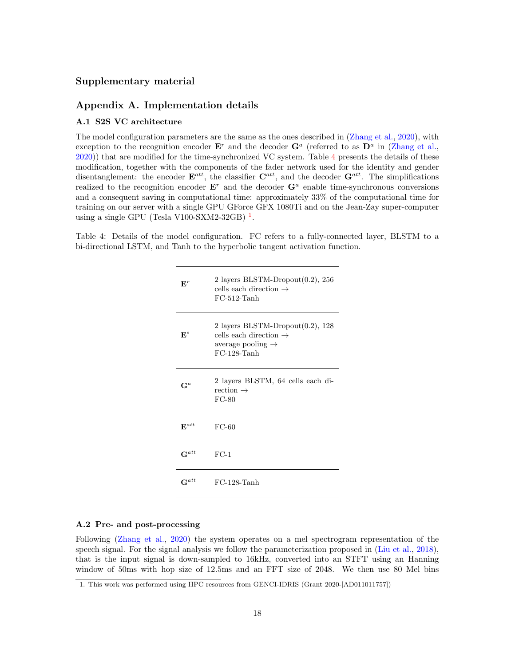## Supplementary material

## Appendix A. Implementation details

#### A.1 S2S VC architecture

The model configuration parameters are the same as the ones described in [\(Zhang et al.,](#page-16-6) [2020\)](#page-16-6), with exception to the recognition encoder  $\mathbf{E}^r$  and the decoder  $\mathbf{G}^a$  (referred to as  $\mathbf{D}^a$  in [\(Zhang et al.,](#page-16-6) [2020\)](#page-16-6)) that are modified for the time-synchronized VC system. Table [4](#page-17-0) presents the details of these modification, together with the components of the fader network used for the identity and gender disentanglement: the encoder  $\mathbf{E}^{att}$ , the classifier  $\mathbf{C}^{att}$ , and the decoder  $\mathbf{G}^{att}$ . The simplifications realized to the recognition encoder  $E^r$  and the decoder  $G^a$  enable time-synchronous conversions and a consequent saving in computational time: approximately 33% of the computational time for training on our server with a single GPU GForce GFX 1080Ti and on the Jean-Zay super-computer using a single GPU (Tesla V[1](#page-17-1)00-SXM2-32GB)  $<sup>1</sup>$ .</sup>

<span id="page-17-0"></span>Table 4: Details of the model configuration. FC refers to a fully-connected layer, BLSTM to a bi-directional LSTM, and Tanh to the hyperbolic tangent activation function.

| ${\bf E}^r$          | 2 layers BLSTM-Dropout $(0.2)$ , 256<br>cells each direction $\rightarrow$<br>$FC-512-Tanh$                                  |
|----------------------|------------------------------------------------------------------------------------------------------------------------------|
| $\mathbf{E}^s$       | 2 layers BLSTM-Dropout $(0.2)$ , 128<br>cells each direction $\rightarrow$<br>average pooling $\rightarrow$<br>$FC-128-Tanh$ |
| $\mathsf{G}^a$       | 2 layers BLSTM, 64 cells each di-<br>rection $\rightarrow$<br>$FC-80$                                                        |
| $\mathbf{E}^{att}$   | $FC-60$                                                                                                                      |
| $\mathbf{G}^{att}$   | $FC-1$                                                                                                                       |
| $\mathsf{\Xi}^{att}$ | $FC-128-Tanh$                                                                                                                |

## A.2 Pre- and post-processing

Following [\(Zhang et al.,](#page-16-6) [2020\)](#page-16-6) the system operates on a mel spectrogram representation of the speech signal. For the signal analysis we follow the parameterization proposed in [\(Liu et al.,](#page-14-13) [2018\)](#page-14-13), that is the input signal is down-sampled to 16kHz, converted into an STFT using an Hanning window of 50ms with hop size of 12.5ms and an FFT size of 2048. We then use 80 Mel bins

<span id="page-17-1"></span><sup>1.</sup> This work was performed using HPC resources from GENCI-IDRIS (Grant 2020-[AD011011757])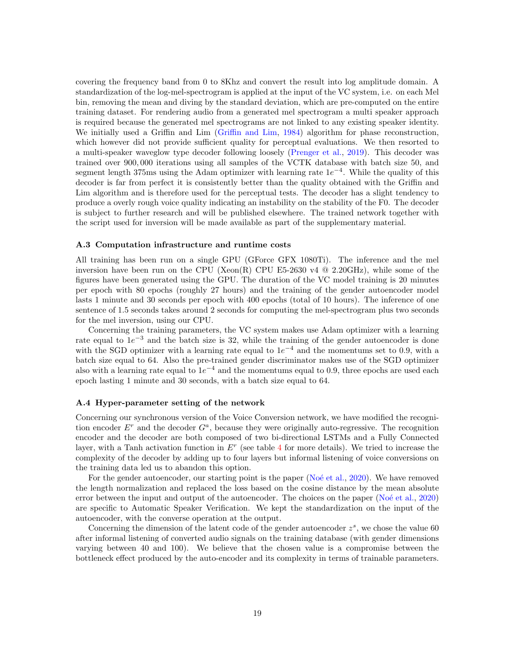covering the frequency band from 0 to 8Khz and convert the result into log amplitude domain. A standardization of the log-mel-spectrogram is applied at the input of the VC system, i.e. on each Mel bin, removing the mean and diving by the standard deviation, which are pre-computed on the entire training dataset. For rendering audio from a generated mel spectrogram a multi speaker approach is required because the generated mel spectrograms are not linked to any existing speaker identity. We initially used a Griffin and Lim [\(Griffin and Lim,](#page-13-10) [1984\)](#page-13-10) algorithm for phase reconstruction, which however did not provide sufficient quality for perceptual evaluations. We then resorted to a multi-speaker waveglow type decoder following loosely [\(Prenger et al.,](#page-15-10) [2019\)](#page-15-10). This decoder was trained over 900, 000 iterations using all samples of the VCTK database with batch size 50, and segment length 375ms using the Adam optimizer with learning rate  $1e^{-4}$ . While the quality of this decoder is far from perfect it is consistently better than the quality obtained with the Griffin and Lim algorithm and is therefore used for the perceptual tests. The decoder has a slight tendency to produce a overly rough voice quality indicating an instability on the stability of the F0. The decoder is subject to further research and will be published elsewhere. The trained network together with the script used for inversion will be made available as part of the supplementary material.

#### A.3 Computation infrastructure and runtime costs

All training has been run on a single GPU (GForce GFX 1080Ti). The inference and the mel inversion have been run on the CPU (Xeon(R) CPU E5-2630 v4  $@$  2.20GHz), while some of the figures have been generated using the GPU. The duration of the VC model training is 20 minutes per epoch with 80 epochs (roughly 27 hours) and the training of the gender autoencoder model lasts 1 minute and 30 seconds per epoch with 400 epochs (total of 10 hours). The inference of one sentence of 1.5 seconds takes around 2 seconds for computing the mel-spectrogram plus two seconds for the mel inversion, using our CPU.

Concerning the training parameters, the VC system makes use Adam optimizer with a learning rate equal to  $1e^{-3}$  and the batch size is 32, while the training of the gender autoencoder is done with the SGD optimizer with a learning rate equal to  $1e^{-4}$  and the momentums set to 0.9, with a batch size equal to 64. Also the pre-trained gender discriminator makes use of the SGD optimizer also with a learning rate equal to  $1e^{-4}$  and the momentums equal to 0.9, three epochs are used each epoch lasting 1 minute and 30 seconds, with a batch size equal to 64.

#### A.4 Hyper-parameter setting of the network

Concerning our synchronous version of the Voice Conversion network, we have modified the recognition encoder  $E^r$  and the decoder  $G^a$ , because they were originally auto-regressive. The recognition encoder and the decoder are both composed of two bi-directional LSTMs and a Fully Connected layer, with a Tanh activation function in  $E<sup>r</sup>$  (see table [4](#page-17-0) for more details). We tried to increase the complexity of the decoder by adding up to four layers but informal listening of voice conversions on the training data led us to abandon this option.

For the gender autoencoder, our starting point is the paper (No $\acute{e}$  et al., [2020\)](#page-15-7). We have removed the length normalization and replaced the loss based on the cosine distance by the mean absolute error between the input and output of the autoencoder. The choices on the paper (Noé et al., [2020\)](#page-15-7) are specific to Automatic Speaker Verification. We kept the standardization on the input of the autoencoder, with the converse operation at the output.

Concerning the dimension of the latent code of the gender autoencoder  $z^s$ , we chose the value 60 after informal listening of converted audio signals on the training database (with gender dimensions varying between 40 and 100). We believe that the chosen value is a compromise between the bottleneck effect produced by the auto-encoder and its complexity in terms of trainable parameters.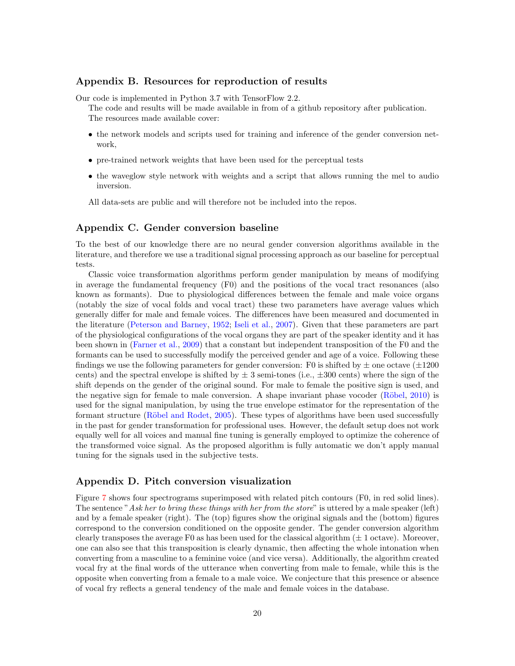## Appendix B. Resources for reproduction of results

Our code is implemented in Python 3.7 with TensorFlow 2.2.

The code and results will be made available in from of a github repository after publication. The resources made available cover:

- the network models and scripts used for training and inference of the gender conversion network,
- pre-trained network weights that have been used for the perceptual tests
- the waveglow style network with weights and a script that allows running the mel to audio inversion.

All data-sets are public and will therefore not be included into the repos.

## Appendix C. Gender conversion baseline

To the best of our knowledge there are no neural gender conversion algorithms available in the literature, and therefore we use a traditional signal processing approach as our baseline for perceptual tests.

Classic voice transformation algorithms perform gender manipulation by means of modifying in average the fundamental frequency (F0) and the positions of the vocal tract resonances (also known as formants). Due to physiological differences between the female and male voice organs (notably the size of vocal folds and vocal tract) these two parameters have average values which generally differ for male and female voices. The differences have been measured and documented in the literature [\(Peterson and Barney,](#page-15-11) [1952;](#page-15-11) [Iseli et al.,](#page-13-11) [2007\)](#page-13-11). Given that these parameters are part of the physiological configurations of the vocal organs they are part of the speaker identity and it has been shown in [\(Farner et al.,](#page-13-12) [2009\)](#page-13-12) that a constant but independent transposition of the F0 and the formants can be used to successfully modify the perceived gender and age of a voice. Following these findings we use the following parameters for gender conversion: F0 is shifted by  $\pm$  one octave ( $\pm 1200$ ) cents) and the spectral envelope is shifted by  $\pm$  3 semi-tones (i.e.,  $\pm$ 300 cents) where the sign of the shift depends on the gender of the original sound. For male to female the positive sign is used, and the negative sign for female to male conversion. A shape invariant phase vocoder  $(Röbel, 2010)$  $(Röbel, 2010)$  is used for the signal manipulation, by using the true envelope estimator for the representation of the formant structure (Röbel and Rodet, [2005\)](#page-15-13). These types of algorithms have been used successfully in the past for gender transformation for professional uses. However, the default setup does not work equally well for all voices and manual fine tuning is generally employed to optimize the coherence of the transformed voice signal. As the proposed algorithm is fully automatic we don't apply manual tuning for the signals used in the subjective tests.

## Appendix D. Pitch conversion visualization

Figure [7](#page-20-0) shows four spectrograms superimposed with related pitch contours (F0, in red solid lines). The sentence "Ask her to bring these things with her from the store" is uttered by a male speaker (left) and by a female speaker (right). The (top) figures show the original signals and the (bottom) figures correspond to the conversion conditioned on the opposite gender. The gender conversion algorithm clearly transposes the average F0 as has been used for the classical algorithm  $(\pm 1 \text{ octave})$ . Moreover, one can also see that this transposition is clearly dynamic, then affecting the whole intonation when converting from a masculine to a feminine voice (and vice versa). Additionally, the algorithm created vocal fry at the final words of the utterance when converting from male to female, while this is the opposite when converting from a female to a male voice. We conjecture that this presence or absence of vocal fry reflects a general tendency of the male and female voices in the database.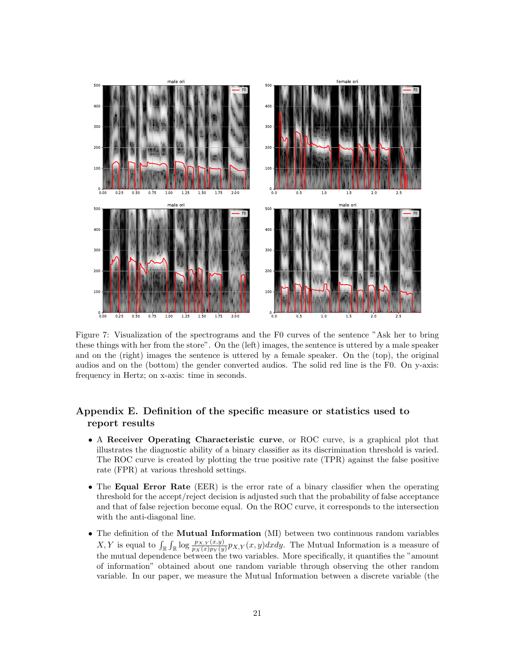<span id="page-20-0"></span>

Figure 7: Visualization of the spectrograms and the F0 curves of the sentence "Ask her to bring these things with her from the store". On the (left) images, the sentence is uttered by a male speaker and on the (right) images the sentence is uttered by a female speaker. On the (top), the original audios and on the (bottom) the gender converted audios. The solid red line is the F0. On y-axis: frequency in Hertz; on x-axis: time in seconds.

## Appendix E. Definition of the specific measure or statistics used to report results

- A Receiver Operating Characteristic curve, or ROC curve, is a graphical plot that illustrates the diagnostic ability of a binary classifier as its discrimination threshold is varied. The ROC curve is created by plotting the true positive rate (TPR) against the false positive rate (FPR) at various threshold settings.
- The Equal Error Rate (EER) is the error rate of a binary classifier when the operating threshold for the accept/reject decision is adjusted such that the probability of false acceptance and that of false rejection become equal. On the ROC curve, it corresponds to the intersection with the anti-diagonal line.
- The definition of the **Mutual Information** (MI) between two continuous random variables X, Y is equal to  $\int_{\mathbb{R}} \int_{\mathbb{R}} \log \frac{p_{X,Y}(x,y)}{p_X(x)p_Y(y)} p_{X,Y}(x,y) dx dy$ . The Mutual Information is a measure of the mutual dependence between the two variables. More specifically, it quantifies the "amount of information" obtained about one random variable through observing the other random variable. In our paper, we measure the Mutual Information between a discrete variable (the